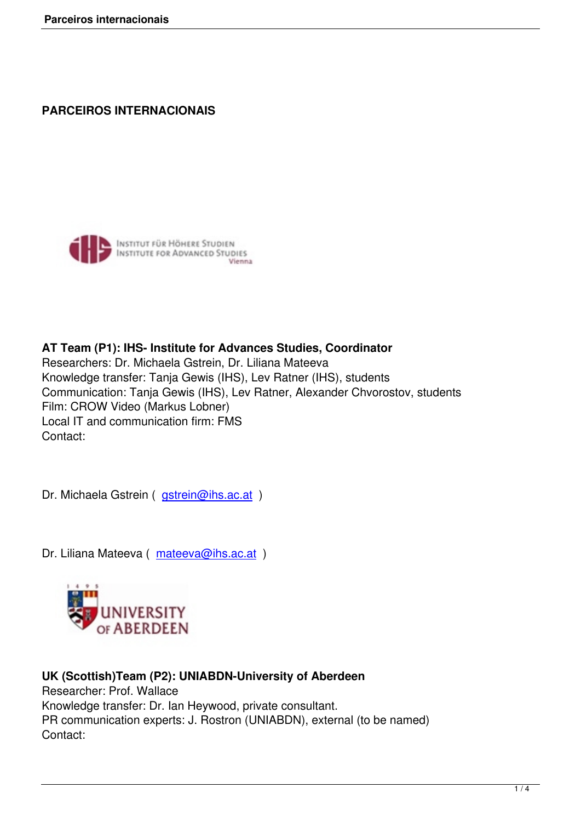## **PARCEIROS INTERNACIONAIS**



**AT Team (P1): IHS- Institute for Advances Studies, Coordinator** Researchers: Dr. Michaela Gstrein, Dr. Liliana Mateeva Knowledge transfer: Tanja Gewis (IHS), Lev Ratner (IHS), students Communication: Tanja Gewis (IHS), Lev Ratner, Alexander Chvorostov, students Film: CROW Video (Markus Lobner) Local IT and communication firm: FMS Contact:

Dr. Michaela Gstrein ( gstrein@ihs.ac.at )

Dr. Liliana Mateeva ( [mateeva@ihs.ac.a](mailto:gstrein@ihs.ac.at)t )



## **UK (Scottish)Team (P2): UNIABDN-University of Aberdeen** Researcher: Prof. Wallace Knowledge transfer: Dr. Ian Heywood, private consultant. PR communication experts: J. Rostron (UNIABDN), external (to be named) Contact: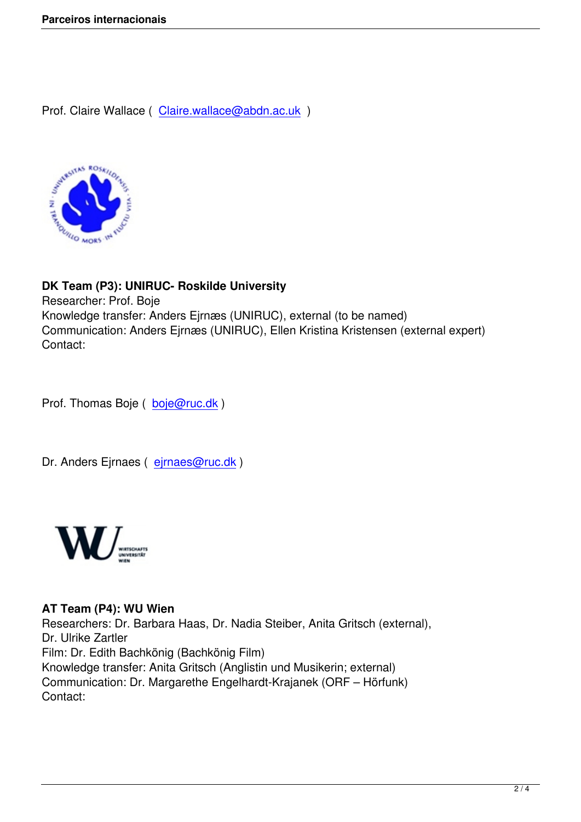Prof. Claire Wallace ( Claire.wallace@abdn.ac.uk )



**DK Team (P3): UNIRUC- Roskilde University**

Researcher: Prof. Boje Knowledge transfer: Anders Ejrnæs (UNIRUC), external (to be named) Communication: Anders Ejrnæs (UNIRUC), Ellen Kristina Kristensen (external expert) Contact:

Prof. Thomas Boje ( boje@ruc.dk )

Dr. Anders Ejrnaes ( [ejrnaes@ruc](mailto:boje@ruc.dk).dk )



## **AT Team (P4): WU Wien**

Researchers: Dr. Barbara Haas, Dr. Nadia Steiber, Anita Gritsch (external), Dr. Ulrike Zartler Film: Dr. Edith Bachkönig (Bachkönig Film) Knowledge transfer: Anita Gritsch (Anglistin und Musikerin; external) Communication: Dr. Margarethe Engelhardt-Krajanek (ORF – Hörfunk) Contact: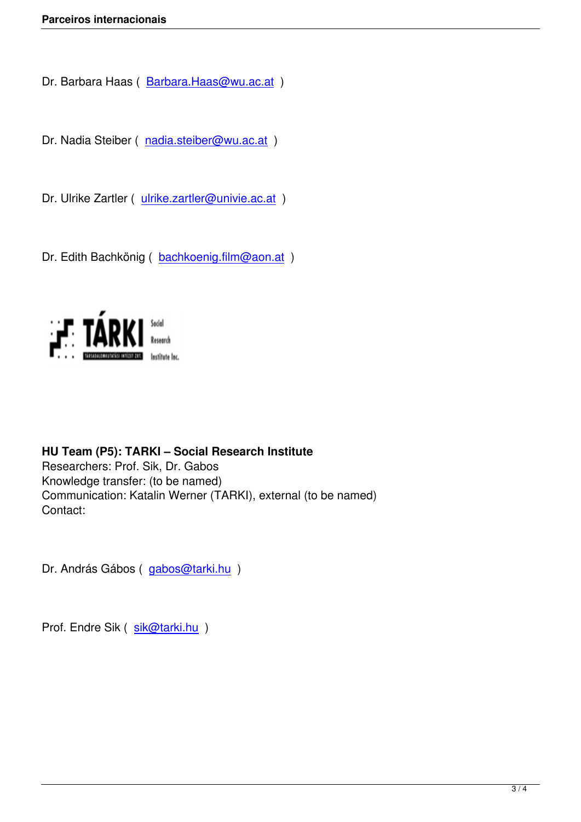Dr. Barbara Haas ( Barbara.Haas@wu.ac.at )

Dr. Nadia Steiber ( [nadia.steiber@wu.ac.at](mailto:Barbara.Haas@wu.ac.at) )

Dr. Ulrike Zartler ( [ulrike.zartler@univie.ac.a](mailto:nadia.steiber@wu.ac.at)t )

Dr. Edith Bachköni[g \( bachkoenig.film@aon.a](mailto:ulrike.zartler@univie.ac.at)t )



**HU Team (P5): TARKI – Social Research Institute** Researchers: Prof. Sik, Dr. Gabos Knowledge transfer: (to be named) Communication: Katalin Werner (TARKI), external (to be named) Contact:

Dr. András Gábos (gabos@tarki.hu)

Prof. Endre Sik ( sik[@tarki.hu](mailto:gabos@tarki.hu) )